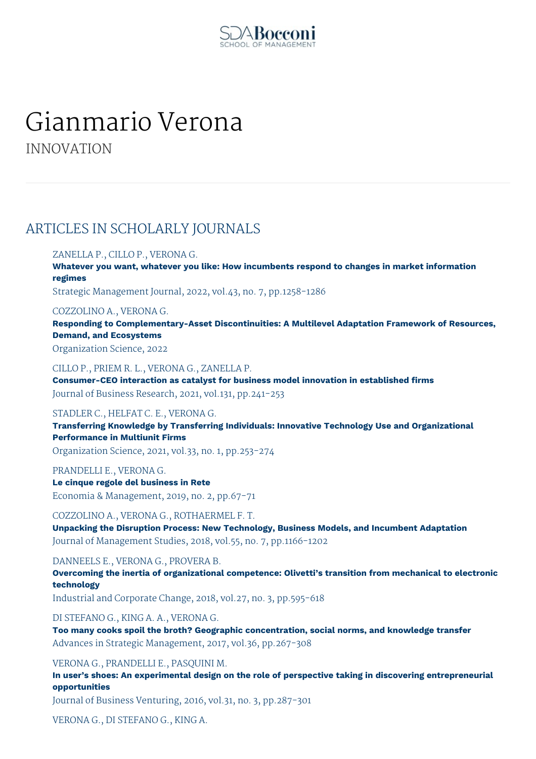

# Gianmario Verona

INNOVATION

# ARTICLES IN SCHOLARLY JOURNALS

# ZANELLA P., CILLO P., VERONA G.

**Whatever you want, whatever you like: How incumbents respond to changes in market information regimes**

Strategic Management Journal, 2022, vol.43, no. 7, pp.1258-1286

COZZOLINO A., VERONA G.

**Responding to Complementary-Asset Discontinuities: A Multilevel Adaptation Framework of Resources, Demand, and Ecosystems**

Organization Science, 2022

CILLO P., PRIEM R. L., VERONA G., ZANELLA P.

**Consumer-CEO interaction as catalyst for business model innovation in established firms** Journal of Business Research, 2021, vol.131, pp.241-253

STADLER C., HELFAT C. E., VERONA G.

**Transferring Knowledge by Transferring Individuals: Innovative Technology Use and Organizational Performance in Multiunit Firms**

Organization Science, 2021, vol.33, no. 1, pp.253-274

PRANDELLI E., VERONA G.

**Le cinque regole del business in Rete** Economia & Management, 2019, no. 2, pp.67-71

COZZOLINO A., VERONA G., ROTHAERMEL F. T.

**Unpacking the Disruption Process: New Technology, Business Models, and Incumbent Adaptation** Journal of Management Studies, 2018, vol.55, no. 7, pp.1166-1202

DANNEELS E., VERONA G., PROVERA B.

**Overcoming the inertia of organizational competence: Olivetti's transition from mechanical to electronic technology**

Industrial and Corporate Change, 2018, vol.27, no. 3, pp.595-618

DI STEFANO G., KING A. A., VERONA G.

**Too many cooks spoil the broth? Geographic concentration, social norms, and knowledge transfer** Advances in Strategic Management, 2017, vol.36, pp.267-308

VERONA G., PRANDELLI E., PASQUINI M.

**In user's shoes: An experimental design on the role of perspective taking in discovering entrepreneurial opportunities**

Journal of Business Venturing, 2016, vol.31, no. 3, pp.287-301

VERONA G., DI STEFANO G., KING A.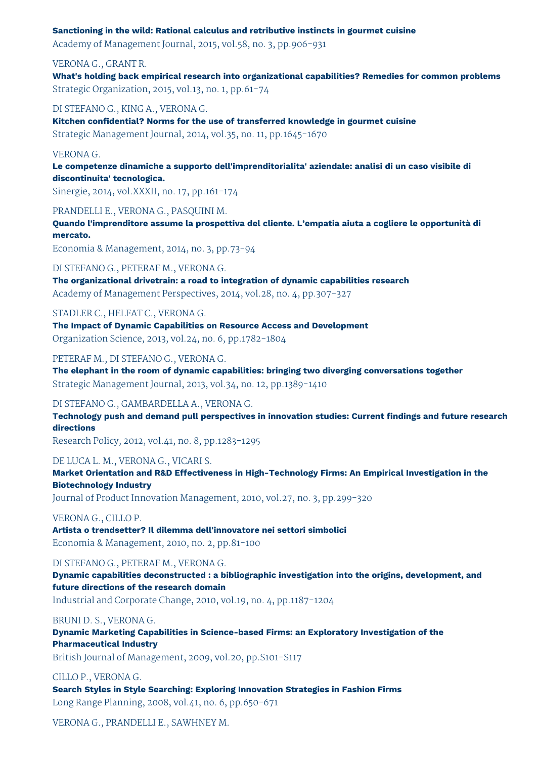#### **Sanctioning in the wild: Rational calculus and retributive instincts in gourmet cuisine**

Academy of Management Journal, 2015, vol.58, no. 3, pp.906-931

# VERONA G., GRANT R.

**What's holding back empirical research into organizational capabilities? Remedies for common problems** Strategic Organization, 2015, vol.13, no. 1, pp.61-74

DI STEFANO G., KING A., VERONA G.

**Kitchen confidential? Norms for the use of transferred knowledge in gourmet cuisine**

Strategic Management Journal, 2014, vol.35, no. 11, pp.1645-1670

#### VERONA G.

**Le competenze dinamiche a supporto dell'imprenditorialita' aziendale: analisi di un caso visibile di discontinuita' tecnologica.**

Sinergie, 2014, vol.XXXII, no. 17, pp.161-174

#### PRANDELLI E., VERONA G., PASQUINI M.

**Quando l'imprenditore assume la prospettiva del cliente. L'empatia aiuta a cogliere le opportunità di mercato.**

Economia & Management, 2014, no. 3, pp.73-94

#### DI STEFANO G., PETERAF M., VERONA G.

**The organizational drivetrain: a road to integration of dynamic capabilities research** Academy of Management Perspectives, 2014, vol.28, no. 4, pp.307-327

STADLER C., HELFAT C., VERONA G.

**The Impact of Dynamic Capabilities on Resource Access and Development** Organization Science, 2013, vol.24, no. 6, pp.1782-1804

#### PETERAF M., DI STEFANO G., VERONA G.

**The elephant in the room of dynamic capabilities: bringing two diverging conversations together** Strategic Management Journal, 2013, vol.34, no. 12, pp.1389-1410

# DI STEFANO G., GAMBARDELLA A., VERONA G.

**Technology push and demand pull perspectives in innovation studies: Current findings and future research directions**

Research Policy, 2012, vol.41, no. 8, pp.1283-1295

#### DE LUCA L. M., VERONA G., VICARI S.

**Market Orientation and R&D Effectiveness in High-Technology Firms: An Empirical Investigation in the Biotechnology Industry**

Journal of Product Innovation Management, 2010, vol.27, no. 3, pp.299-320

#### VERONA G., CILLO P.

**Artista o trendsetter? Il dilemma dell'innovatore nei settori simbolici** Economia & Management, 2010, no. 2, pp.81-100

#### DI STEFANO G., PETERAF M., VERONA G.

**Dynamic capabilities deconstructed : a bibliographic investigation into the origins, development, and future directions of the research domain**

Industrial and Corporate Change, 2010, vol.19, no. 4, pp.1187-1204

#### BRUNI D. S., VERONA G.

**Dynamic Marketing Capabilities in Science-based Firms: an Exploratory Investigation of the Pharmaceutical Industry**

British Journal of Management, 2009, vol.20, pp.S101-S117

# CILLO P., VERONA G.

**Search Styles in Style Searching: Exploring Innovation Strategies in Fashion Firms** Long Range Planning, 2008, vol.41, no. 6, pp.650-671

VERONA G., PRANDELLI E., SAWHNEY M.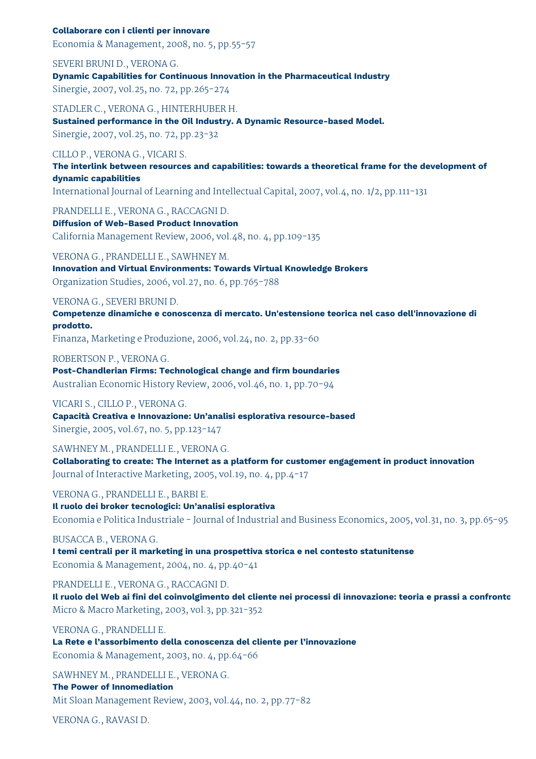# **Collaborare con i clienti per innovare**

Economia & Management, 2008, no. 5, pp.55-57

SEVERI BRUNI D., VERONA G. **Dynamic Capabilities for Continuous Innovation in the Pharmaceutical Industry** Sinergie, 2007, vol.25, no. 72, pp.265-274

STADLER C., VERONA G., HINTERHUBER H. **Sustained performance in the Oil Industry. A Dynamic Resource-based Model.** Sinergie, 2007, vol.25, no. 72, pp.23-32

# CILLO P., VERONA G., VICARI S.

**The interlink between resources and capabilities: towards a theoretical frame for the development of dynamic capabilities**

International Journal of Learning and Intellectual Capital, 2007, vol.4, no. 1/2, pp.111-131

PRANDELLI E., VERONA G., RACCAGNI D.

**Diffusion of Web-Based Product Innovation** California Management Review, 2006, vol.48, no. 4, pp.109-135

VERONA G., PRANDELLI E., SAWHNEY M.

**Innovation and Virtual Environments: Towards Virtual Knowledge Brokers** Organization Studies, 2006, vol.27, no. 6, pp.765-788

VERONA G., SEVERI BRUNI D.

**Competenze dinamiche e conoscenza di mercato. Un'estensione teorica nel caso dell'innovazione di prodotto.**

Finanza, Marketing e Produzione, 2006, vol.24, no. 2, pp.33-60

ROBERTSON P., VERONA G.

**Post-Chandlerian Firms: Technological change and firm boundaries** Australian Economic History Review, 2006, vol.46, no. 1, pp.70-94

VICARI S., CILLO P., VERONA G.

**Capacità Creativa e Innovazione: Un'analisi esplorativa resource-based** Sinergie, 2005, vol.67, no. 5, pp.123-147

SAWHNEY M., PRANDELLI E., VERONA G.

**Collaborating to create: The Internet as a platform for customer engagement in product innovation** Journal of Interactive Marketing, 2005, vol.19, no. 4, pp.4-17

VERONA G., PRANDELLI E., BARBI E.

**Il ruolo dei broker tecnologici: Un'analisi esplorativa** Economia e Politica Industriale - Journal of Industrial and Business Economics, 2005, vol.31, no. 3, pp.65-95

BUSACCA B., VERONA G.

**I temi centrali per il marketing in una prospettiva storica e nel contesto statunitense** Economia & Management, 2004, no. 4, pp.40-41

PRANDELLI E., VERONA G., RACCAGNI D.

Il ruolo del Web ai fini del coinvolgimento del cliente nei processi di innovazione: teoria e prassi a confronto Micro & Macro Marketing, 2003, vol.3, pp.321-352

VERONA G., PRANDELLI E.

**La Rete e l'assorbimento della conoscenza del cliente per l'innovazione** Economia & Management, 2003, no. 4, pp.64-66

SAWHNEY M., PRANDELLI E., VERONA G.

**The Power of Innomediation** Mit Sloan Management Review, 2003, vol.44, no. 2, pp.77-82

VERONA G., RAVASI D.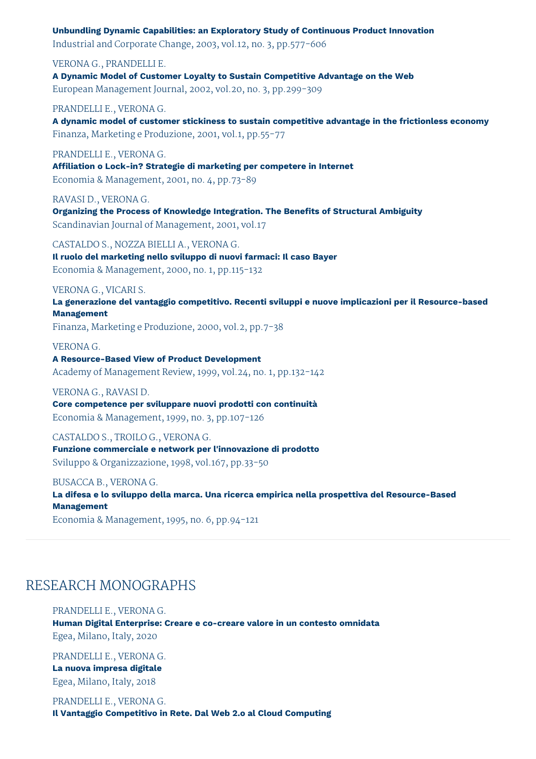**Unbundling Dynamic Capabilities: an Exploratory Study of Continuous Product Innovation**

Industrial and Corporate Change, 2003, vol.12, no. 3, pp.577-606

VERONA G., PRANDELLI E.

**A Dynamic Model of Customer Loyalty to Sustain Competitive Advantage on the Web** European Management Journal, 2002, vol.20, no. 3, pp.299-309

PRANDELLI E., VERONA G.

**A dynamic model of customer stickiness to sustain competitive advantage in the frictionless economy** Finanza, Marketing e Produzione, 2001, vol.1, pp.55-77

PRANDELLI E., VERONA G.

**Affiliation o Lock-in? Strategie di marketing per competere in Internet** Economia & Management, 2001, no. 4, pp.73-89

RAVASI D., VERONA G. **Organizing the Process of Knowledge Integration. The Benefits of Structural Ambiguity** Scandinavian Journal of Management, 2001, vol.17

CASTALDO S., NOZZA BIELLI A., VERONA G. **Il ruolo del marketing nello sviluppo di nuovi farmaci: Il caso Bayer** Economia & Management, 2000, no. 1, pp.115-132

VERONA G., VICARI S.

**La generazione del vantaggio competitivo. Recenti sviluppi e nuove implicazioni per il Resource-based Management**

Finanza, Marketing e Produzione, 2000, vol.2, pp.7-38

VERONA G.

**A Resource-Based View of Product Development** Academy of Management Review, 1999, vol.24, no. 1, pp.132-142

VERONA G., RAVASI D. **Core competence per sviluppare nuovi prodotti con continuità** Economia & Management, 1999, no. 3, pp.107-126

CASTALDO S., TROILO G., VERONA G. **Funzione commerciale e network per l'innovazione di prodotto** Sviluppo & Organizzazione, 1998, vol.167, pp.33-50

BUSACCA B., VERONA G. **La difesa e lo sviluppo della marca. Una ricerca empirica nella prospettiva del Resource-Based Management** Economia & Management, 1995, no. 6, pp.94-121

# RESEARCH MONOGRAPHS

PRANDELLI E., VERONA G. **Human Digital Enterprise: Creare e co-creare valore in un contesto omnidata** Egea, Milano, Italy, 2020

PRANDELLI E., VERONA G. **La nuova impresa digitale** Egea, Milano, Italy, 2018

PRANDELLI E., VERONA G. **Il Vantaggio Competitivo in Rete. Dal Web 2.o al Cloud Computing**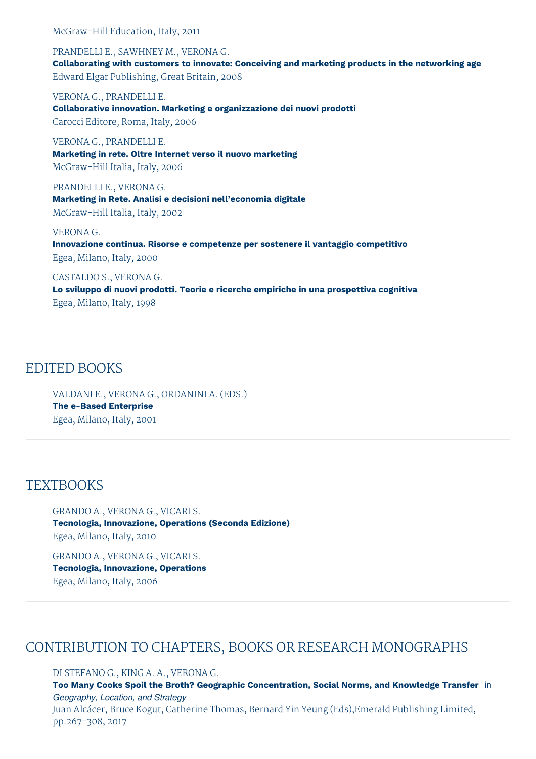McGraw-Hill Education, Italy, 2011

PRANDELLI E., SAWHNEY M., VERONA G. **Collaborating with customers to innovate: Conceiving and marketing products in the networking age** Edward Elgar Publishing, Great Britain, 2008

VERONA G., PRANDELLI E. **Collaborative innovation. Marketing e organizzazione dei nuovi prodotti** Carocci Editore, Roma, Italy, 2006

VERONA G., PRANDELLI E. **Marketing in rete. Oltre Internet verso il nuovo marketing** McGraw-Hill Italia, Italy, 2006

PRANDELLI E., VERONA G. **Marketing in Rete. Analisi e decisioni nell'economia digitale** McGraw-Hill Italia, Italy, 2002

VERONA G. **Innovazione continua. Risorse e competenze per sostenere il vantaggio competitivo** Egea, Milano, Italy, 2000

CASTALDO S., VERONA G. **Lo sviluppo di nuovi prodotti. Teorie e ricerche empiriche in una prospettiva cognitiva** Egea, Milano, Italy, 1998

# EDITED BOOKS

VALDANI E., VERONA G., ORDANINI A. (EDS.) **The e-Based Enterprise** Egea, Milano, Italy, 2001

# **TEXTBOOKS**

GRANDO A., VERONA G., VICARI S. **Tecnologia, Innovazione, Operations (Seconda Edizione)** Egea, Milano, Italy, 2010

GRANDO A., VERONA G., VICARI S. **Tecnologia, Innovazione, Operations** Egea, Milano, Italy, 2006

# CONTRIBUTION TO CHAPTERS, BOOKS OR RESEARCH MONOGRAPHS

DI STEFANO G., KING A. A., VERONA G.

**Too Many Cooks Spoil the Broth? Geographic Concentration, Social Norms, and Knowledge Transfer** in *Geography, Location, and Strategy* Juan Alcácer, Bruce Kogut, Catherine Thomas, Bernard Yin Yeung (Eds),Emerald Publishing Limited, pp.267-308, 2017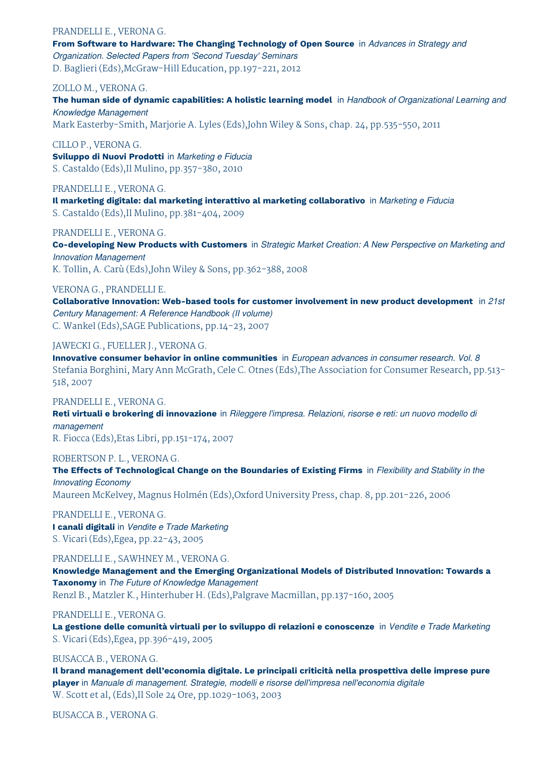# PRANDELLI E., VERONA G.

**From Software to Hardware: The Changing Technology of Open Source** in *Advances in Strategy and Organization. Selected Papers from 'Second Tuesday' Seminars*

D. Baglieri (Eds),McGraw-Hill Education, pp.197-221, 2012

# ZOLLO M., VERONA G.

**The human side of dynamic capabilities: A holistic learning model** in *Handbook of Organizational Learning and Knowledge Management*

Mark Easterby-Smith, Marjorie A. Lyles (Eds),John Wiley & Sons, chap. 24, pp.535-550, 2011

CILLO P., VERONA G. **Sviluppo di Nuovi Prodotti** in *Marketing e Fiducia* S. Castaldo (Eds),Il Mulino, pp.357-380, 2010

PRANDELLI E., VERONA G. **Il marketing digitale: dal marketing interattivo al marketing collaborativo** in *Marketing e Fiducia* S. Castaldo (Eds),Il Mulino, pp.381-404, 2009

PRANDELLI E., VERONA G.

**Co-developing New Products with Customers** in *Strategic Market Creation: A New Perspective on Marketing and Innovation Management*

K. Tollin, A. Carù (Eds),John Wiley & Sons, pp.362-388, 2008

# VERONA G., PRANDELLI E.

**Collaborative Innovation: Web-based tools for customer involvement in new product development** in *21st Century Management: A Reference Handbook (II volume)* C. Wankel (Eds),SAGE Publications, pp.14-23, 2007

# JAWECKI G., FUELLER J., VERONA G.

**Innovative consumer behavior in online communities** in *European advances in consumer research. Vol. 8* Stefania Borghini, Mary Ann McGrath, Cele C. Otnes (Eds),The Association for Consumer Research, pp.513- 518, 2007

### PRANDELLI E., VERONA G.

**Reti virtuali e brokering di innovazione** in *Rileggere l'impresa. Relazioni, risorse e reti: un nuovo modello di management*

R. Fiocca (Eds),Etas Libri, pp.151-174, 2007

# ROBERTSON P. L., VERONA G.

**The Effects of Technological Change on the Boundaries of Existing Firms** in *Flexibility and Stability in the Innovating Economy*

Maureen McKelvey, Magnus Holmén (Eds),Oxford University Press, chap. 8, pp.201-226, 2006

PRANDELLI E., VERONA G. **I canali digitali** in *Vendite e Trade Marketing* S. Vicari (Eds),Egea, pp.22-43, 2005

# PRANDELLI E., SAWHNEY M., VERONA G.

**Knowledge Management and the Emerging Organizational Models of Distributed Innovation: Towards a Taxonomy** in *The Future of Knowledge Management* Renzl B., Matzler K., Hinterhuber H. (Eds),Palgrave Macmillan, pp.137-160, 2005

# PRANDELLI E., VERONA G.

**La gestione delle comunità virtuali per lo sviluppo di relazioni e conoscenze** in *Vendite e Trade Marketing* S. Vicari (Eds),Egea, pp.396-419, 2005

# BUSACCA B., VERONA G.

**Il brand management dell'economia digitale. Le principali criticità nella prospettiva delle imprese pure player** in *Manuale di management. Strategie, modelli e risorse dell'impresa nell'economia digitale* W. Scott et al, (Eds),Il Sole 24 Ore, pp.1029-1063, 2003

BUSACCA B., VERONA G.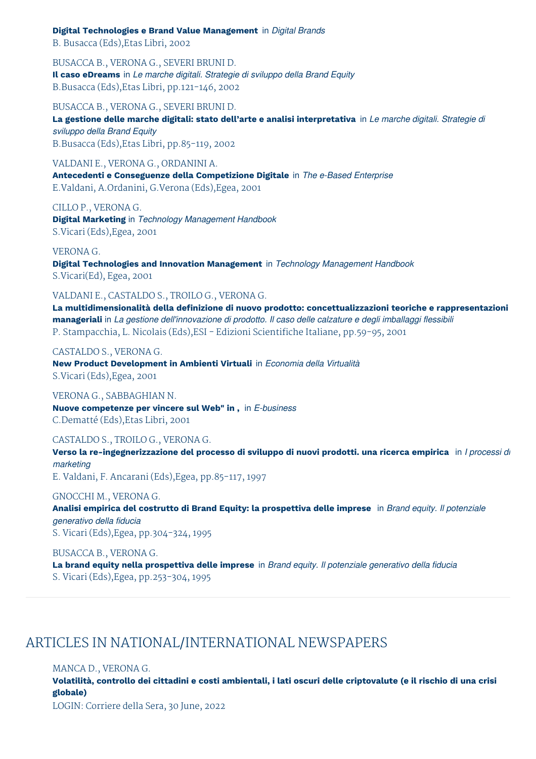**Digital Technologies e Brand Value Management** in *Digital Brands*

B. Busacca (Eds),Etas Libri, 2002

BUSACCA B., VERONA G., SEVERI BRUNI D. **Il caso eDreams** in *Le marche digitali. Strategie di sviluppo della Brand Equity* B.Busacca (Eds),Etas Libri, pp.121-146, 2002

BUSACCA B., VERONA G., SEVERI BRUNI D.

**La gestione delle marche digitali: stato dell'arte e analisi interpretativa** in *Le marche digitali. Strategie di sviluppo della Brand Equity* B.Busacca (Eds),Etas Libri, pp.85-119, 2002

VALDANI E., VERONA G., ORDANINI A. **Antecedenti e Conseguenze della Competizione Digitale** in *The e-Based Enterprise* E.Valdani, A.Ordanini, G.Verona (Eds),Egea, 2001

CILLO P., VERONA G. **Digital Marketing** in *Technology Management Handbook* S.Vicari (Eds),Egea, 2001

VERONA G. **Digital Technologies and Innovation Management** in *Technology Management Handbook* S.Vicari(Ed), Egea, 2001

VALDANI E., CASTALDO S., TROILO G., VERONA G.

**La multidimensionalità della definizione di nuovo prodotto: concettualizzazioni teoriche e rappresentazioni manageriali** in *La gestione dell'innovazione di prodotto. Il caso delle calzature e degli imballaggi flessibili* P. Stampacchia, L. Nicolais (Eds),ESI - Edizioni Scientifiche Italiane, pp.59-95, 2001

CASTALDO S., VERONA G. **New Product Development in Ambienti Virtuali** in *Economia della Virtualità* S.Vicari (Eds),Egea, 2001

VERONA G., SABBAGHIAN N. **Nuove competenze per vincere sul Web" in ,** in *E-business* C.Dematté (Eds),Etas Libri, 2001

CASTALDO S., TROILO G., VERONA G. **Verso la re-ingegnerizzazione del processo di sviluppo di nuovi prodotti. una ricerca empirica** in *I processi di marketing* E. Valdani, F. Ancarani (Eds),Egea, pp.85-117, 1997

GNOCCHI M., VERONA G. **Analisi empirica del costrutto di Brand Equity: la prospettiva delle imprese** in *Brand equity. Il potenziale generativo della fiducia* S. Vicari (Eds),Egea, pp.304-324, 1995

BUSACCA B., VERONA G. **La brand equity nella prospettiva delle imprese** in *Brand equity. Il potenziale generativo della fiducia* S. Vicari (Eds),Egea, pp.253-304, 1995

# ARTICLES IN NATIONAL/INTERNATIONAL NEWSPAPERS

MANCA D., VERONA G.

Volatilità, controllo dei cittadini e costi ambientali, i lati oscuri delle criptovalute (e il rischio di una crisi **globale)**

LOGIN: Corriere della Sera, 30 June, 2022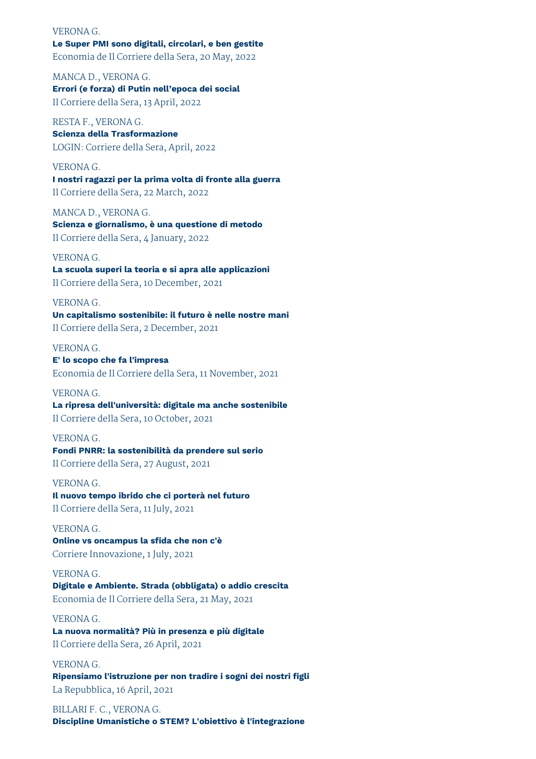VERONA G. **Le Super PMI sono digitali, circolari, e ben gestite** Economia de Il Corriere della Sera, 20 May, 2022

MANCA D., VERONA G. **Errori (e forza) di Putin nell'epoca dei social** Il Corriere della Sera, 13 April, 2022

RESTA F., VERONA G. **Scienza della Trasformazione** LOGIN: Corriere della Sera, April, 2022

VERONA G. **I nostri ragazzi per la prima volta di fronte alla guerra** Il Corriere della Sera, 22 March, 2022

MANCA D., VERONA G. **Scienza e giornalismo, è una questione di metodo** Il Corriere della Sera, 4 January, 2022

VERONA G. **La scuola superi la teoria e si apra alle applicazioni** Il Corriere della Sera, 10 December, 2021

VERONA G. **Un capitalismo sostenibile: il futuro è nelle nostre mani** Il Corriere della Sera, 2 December, 2021

VERONA G. **E' lo scopo che fa l'impresa** Economia de Il Corriere della Sera, 11 November, 2021

# VERONA G.

**La ripresa dell'università: digitale ma anche sostenibile** Il Corriere della Sera, 10 October, 2021

# VERONA G.

**Fondi PNRR: la sostenibilità da prendere sul serio** Il Corriere della Sera, 27 August, 2021

#### VERONA G.

**Il nuovo tempo ibrido che ci porterà nel futuro** Il Corriere della Sera, 11 July, 2021

### VERONA G.

**Online vs oncampus la sfida che non c'è** Corriere Innovazione, 1 July, 2021

VERONA G. **Digitale e Ambiente. Strada (obbligata) o addio crescita** Economia de Il Corriere della Sera, 21 May, 2021

VERONA G.

**La nuova normalità? Più in presenza e più digitale** Il Corriere della Sera, 26 April, 2021

VERONA G.

**Ripensiamo l'istruzione per non tradire i sogni dei nostri figli** La Repubblica, 16 April, 2021

BILLARI F. C., VERONA G. **Discipline Umanistiche o STEM? L'obiettivo è l'integrazione**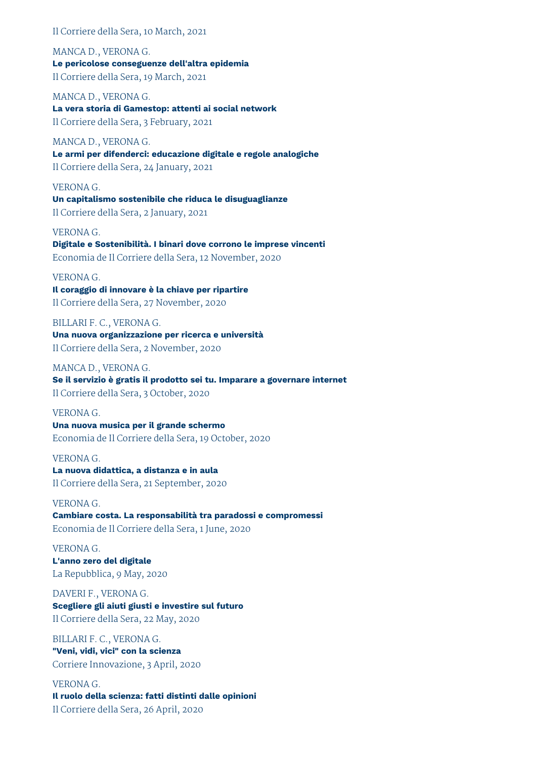Il Corriere della Sera, 10 March, 2021

MANCA D., VERONA G. **Le pericolose conseguenze dell'altra epidemia** Il Corriere della Sera, 19 March, 2021

MANCA D., VERONA G. **La vera storia di Gamestop: attenti ai social network** Il Corriere della Sera, 3 February, 2021

MANCA D., VERONA G. **Le armi per difenderci: educazione digitale e regole analogiche** Il Corriere della Sera, 24 January, 2021

VERONA G. **Un capitalismo sostenibile che riduca le disuguaglianze** Il Corriere della Sera, 2 January, 2021

VERONA G. **Digitale e Sostenibilità. I binari dove corrono le imprese vincenti** Economia de Il Corriere della Sera, 12 November, 2020

VERONA G. **Il coraggio di innovare è la chiave per ripartire** Il Corriere della Sera, 27 November, 2020

BILLARI F. C., VERONA G. **Una nuova organizzazione per ricerca e università** Il Corriere della Sera, 2 November, 2020

MANCA D., VERONA G. **Se il servizio è gratis il prodotto sei tu. Imparare a governare internet** Il Corriere della Sera, 3 October, 2020

VERONA G. **Una nuova musica per il grande schermo** Economia de Il Corriere della Sera, 19 October, 2020

VERONA G. **La nuova didattica, a distanza e in aula** Il Corriere della Sera, 21 September, 2020

VERONA G. **Cambiare costa. La responsabilità tra paradossi e compromessi** Economia de Il Corriere della Sera, 1 June, 2020

VERONA G. **L'anno zero del digitale** La Repubblica, 9 May, 2020

DAVERI F., VERONA G. **Scegliere gli aiuti giusti e investire sul futuro** Il Corriere della Sera, 22 May, 2020

BILLARI F. C., VERONA G. **"Veni, vidi, vici" con la scienza** Corriere Innovazione, 3 April, 2020

VERONA G. **Il ruolo della scienza: fatti distinti dalle opinioni** Il Corriere della Sera, 26 April, 2020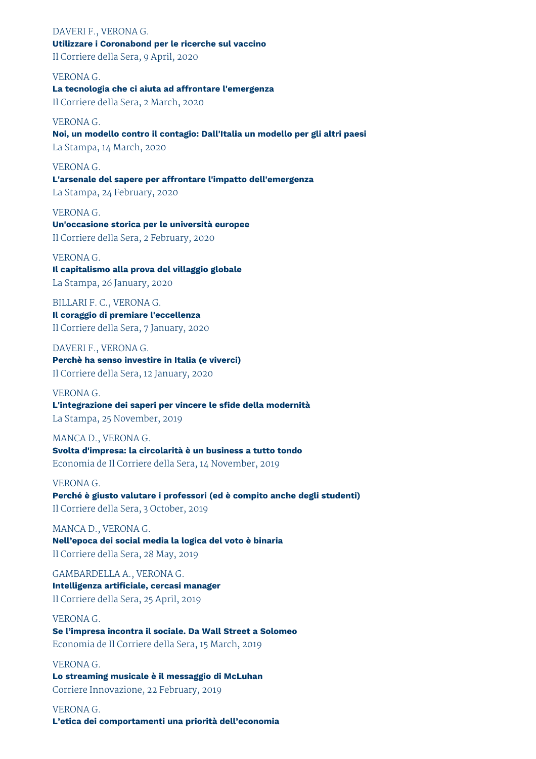DAVERI F., VERONA G. **Utilizzare i Coronabond per le ricerche sul vaccino** Il Corriere della Sera, 9 April, 2020

VERONA G. **La tecnologia che ci aiuta ad affrontare l'emergenza** Il Corriere della Sera, 2 March, 2020

VERONA G. **Noi, un modello contro il contagio: Dall'Italia un modello per gli altri paesi** La Stampa, 14 March, 2020

VERONA G. **L'arsenale del sapere per affrontare l'impatto dell'emergenza** La Stampa, 24 February, 2020

VERONA G. **Un'occasione storica per le università europee** Il Corriere della Sera, 2 February, 2020

VERONA G. **Il capitalismo alla prova del villaggio globale** La Stampa, 26 January, 2020

BILLARI F. C., VERONA G. **Il coraggio di premiare l'eccellenza** Il Corriere della Sera, 7 January, 2020

DAVERI F., VERONA G. **Perchè ha senso investire in Italia (e viverci)** Il Corriere della Sera, 12 January, 2020

# VERONA G.

**L'integrazione dei saperi per vincere le sfide della modernità** La Stampa, 25 November, 2019

MANCA D., VERONA G. **Svolta d'impresa: la circolarità è un business a tutto tondo** Economia de Il Corriere della Sera, 14 November, 2019

VERONA G. **Perché è giusto valutare i professori (ed è compito anche degli studenti)** Il Corriere della Sera, 3 October, 2019

MANCA D., VERONA G. **Nell'epoca dei social media la logica del voto è binaria** Il Corriere della Sera, 28 May, 2019

GAMBARDELLA A., VERONA G. **Intelligenza artificiale, cercasi manager** Il Corriere della Sera, 25 April, 2019

VERONA G. **Se l'impresa incontra il sociale. Da Wall Street a Solomeo** Economia de Il Corriere della Sera, 15 March, 2019

VERONA G. **Lo streaming musicale è il messaggio di McLuhan** Corriere Innovazione, 22 February, 2019

VERONA G. **L'etica dei comportamenti una priorità dell'economia**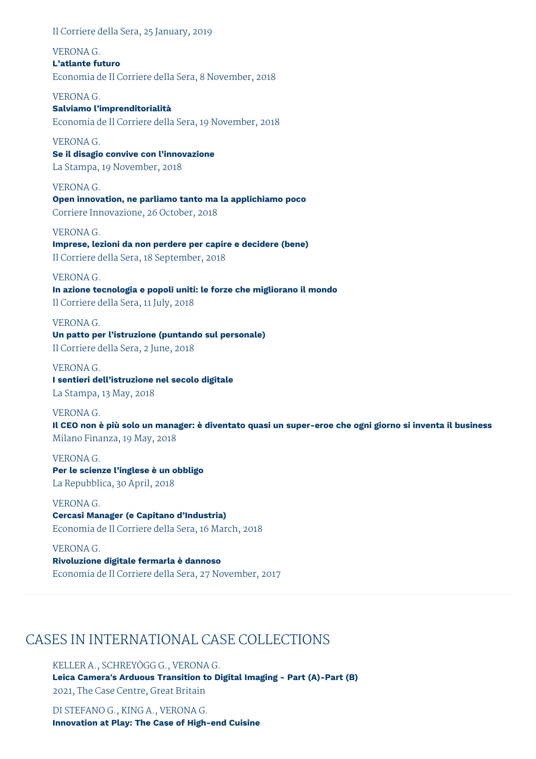Il Corriere della Sera, 25 January, 2019

VERONA G. **L'atlante futuro** Economia de Il Corriere della Sera, 8 November, 2018

VERONA G. **Salviamo l'imprenditorialità** Economia de Il Corriere della Sera, 19 November, 2018

VERONA G. **Se il disagio convive con l'innovazione** La Stampa, 19 November, 2018

VERONA G. **Open innovation, ne parliamo tanto ma la applichiamo poco** Corriere Innovazione, 26 October, 2018

VERONA G. **Imprese, lezioni da non perdere per capire e decidere (bene)** Il Corriere della Sera, 18 September, 2018

VERONA G. **In azione tecnologia e popoli uniti: le forze che migliorano il mondo** Il Corriere della Sera, 11 July, 2018

VERONA G. **Un patto per l'istruzione (puntando sul personale)** Il Corriere della Sera, 2 June, 2018

VERONA G. **I sentieri dell'istruzione nel secolo digitale** La Stampa, 13 May, 2018

VERONA G. Il CEO non è più solo un manager: è diventato quasi un super-eroe che ogni giorno si inventa il business Milano Finanza, 19 May, 2018

VERONA G. **Per le scienze l'inglese è un obbligo** La Repubblica, 30 April, 2018

VERONA G. **Cercasi Manager (e Capitano d'Industria)** Economia de Il Corriere della Sera, 16 March, 2018

VERONA G. **Rivoluzione digitale fermarla è dannoso** Economia de Il Corriere della Sera, 27 November, 2017

# CASES IN INTERNATIONAL CASE COLLECTIONS

KELLER A., SCHREYÖGG G., VERONA G. **Leica Camera's Arduous Transition to Digital Imaging - Part (A)-Part (B)** 2021, The Case Centre, Great Britain

DI STEFANO G., KING A., VERONA G. **Innovation at Play: The Case of High-end Cuisine**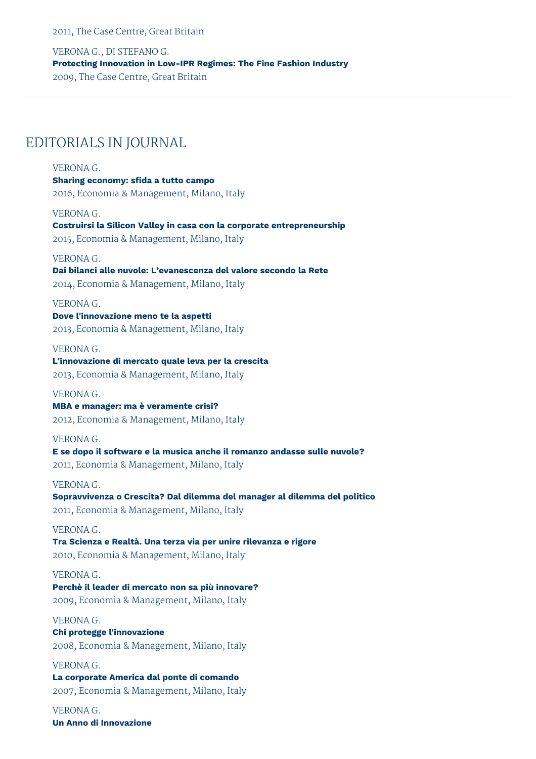2011, The Case Centre, Great Britain

VERONA G., DI STEFANO G. **Protecting Innovation in Low-IPR Regimes: The Fine Fashion Industry** 2009, The Case Centre, Great Britain

# EDITORIALS IN JOURNAL

VERONA G. **Sharing economy: sfida a tutto campo** 2016, Economia & Management, Milano, Italy

VERONA G. **Costruirsi la Silicon Valley in casa con la corporate entrepreneurship** 2015, Economia & Management, Milano, Italy

VERONA G. **Dai bilanci alle nuvole: L'evanescenza del valore secondo la Rete** 2014, Economia & Management, Milano, Italy

VERONA G. **Dove l'innovazione meno te la aspetti** 2013, Economia & Management, Milano, Italy

VERONA G. **L'innovazione di mercato quale leva per la crescita** 2013, Economia & Management, Milano, Italy

VERONA G. **MBA e manager: ma è veramente crisi?** 2012, Economia & Management, Milano, Italy

VERONA G. **E se dopo il software e la musica anche il romanzo andasse sulle nuvole?** 2011, Economia & Management, Milano, Italy

VERONA G. **Sopravvivenza o Crescita? Dal dilemma del manager al dilemma del politico** 2011, Economia & Management, Milano, Italy

VERONA G. **Tra Scienza e Realtà. Una terza via per unire rilevanza e rigore** 2010, Economia & Management, Milano, Italy

VERONA G. **Perchè il leader di mercato non sa più innovare?** 2009, Economia & Management, Milano, Italy

VERONA G. **Chi protegge l'innovazione** 2008, Economia & Management, Milano, Italy

VERONA G. **La corporate America dal ponte di comando** 2007, Economia & Management, Milano, Italy

VERONA G. **Un Anno di Innovazione**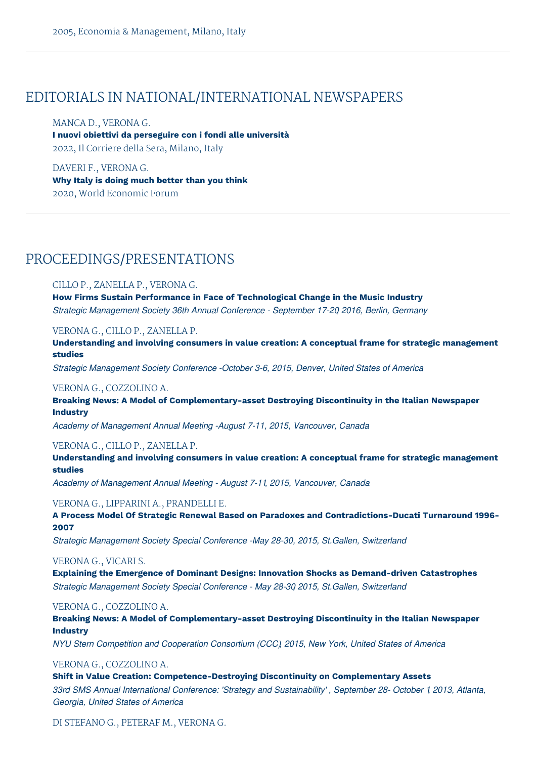# EDITORIALS IN NATIONAL/INTERNATIONAL NEWSPAPERS

MANCA D., VERONA G. **I nuovi obiettivi da perseguire con i fondi alle università** 2022, Il Corriere della Sera, Milano, Italy

DAVERI F., VERONA G. **Why Italy is doing much better than you think** 2020, World Economic Forum

# PROCEEDINGS/PRESENTATIONS

# CILLO P., ZANELLA P., VERONA G.

**How Firms Sustain Performance in Face of Technological Change in the Music Industry** *Strategic Management Society 36th Annual Conference - September 17-20, 2016, Berlin, Germany*

#### VERONA G., CILLO P., ZANELLA P.

**Understanding and involving consumers in value creation: A conceptual frame for strategic management studies**

*Strategic Management Society Conference -October 3-6, 2015, Denver, United States of America*

#### VERONA G., COZZOLINO A.

**Breaking News: A Model of Complementary-asset Destroying Discontinuity in the Italian Newspaper Industry**

*Academy of Management Annual Meeting -August 7-11, 2015, Vancouver, Canada*

# VERONA G., CILLO P., ZANELLA P.

**Understanding and involving consumers in value creation: A conceptual frame for strategic management studies**

*Academy of Management Annual Meeting - August 7-11, 2015, Vancouver, Canada*

#### VERONA G., LIPPARINI A., PRANDELLI E.

**A Process Model Of Strategic Renewal Based on Paradoxes and Contradictions-Ducati Turnaround 1996- 2007**

*Strategic Management Society Special Conference -May 28-30, 2015, St.Gallen, Switzerland*

#### VERONA G., VICARI S.

**Explaining the Emergence of Dominant Designs: Innovation Shocks as Demand-driven Catastrophes** *Strategic Management Society Special Conference - May 28-30, 2015, St.Gallen, Switzerland*

#### VERONA G., COZZOLINO A.

**Breaking News: A Model of Complementary-asset Destroying Discontinuity in the Italian Newspaper Industry**

*NYU Stern Competition and Cooperation Consortium (CCC), 2015, New York, United States of America*

#### VERONA G., COZZOLINO A.

**Shift in Value Creation: Competence-Destroying Discontinuity on Complementary Assets** *33rd SMS Annual International Conference: 'Strategy and Sustainability' , September 28- October 1, 2013, Atlanta, Georgia, United States of America*

DI STEFANO G., PETERAF M., VERONA G.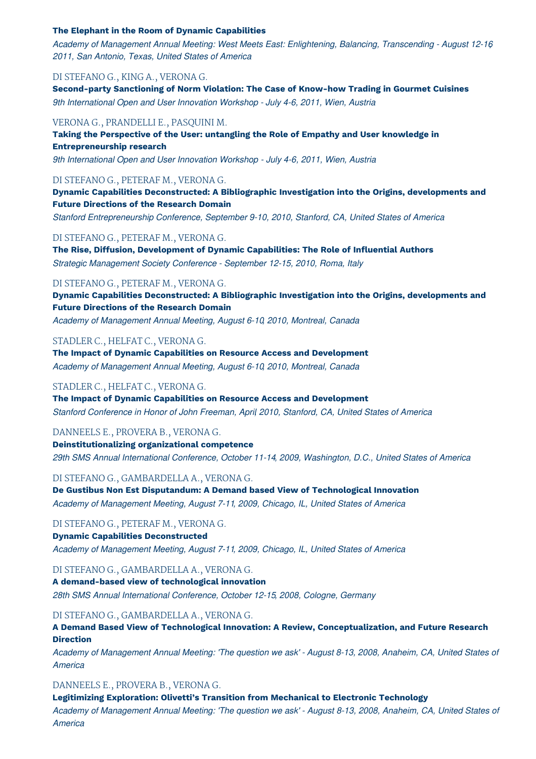#### **The Elephant in the Room of Dynamic Capabilities**

*Academy of Management Annual Meeting: West Meets East: Enlightening, Balancing, Transcending - August 12-16, 2011, San Antonio, Texas, United States of America*

#### DI STEFANO G., KING A., VERONA G.

**Second-party Sanctioning of Norm Violation: The Case of Know-how Trading in Gourmet Cuisines** *9th International Open and User Innovation Workshop - July 4-6, 2011, Wien, Austria*

#### VERONA G., PRANDELLI E., PASQUINI M.

**Taking the Perspective of the User: untangling the Role of Empathy and User knowledge in Entrepreneurship research**

*9th International Open and User Innovation Workshop - July 4-6, 2011, Wien, Austria*

### DI STEFANO G., PETERAF M., VERONA G.

**Dynamic Capabilities Deconstructed: A Bibliographic Investigation into the Origins, developments and Future Directions of the Research Domain**

*Stanford Entrepreneurship Conference, September 9-10, 2010, Stanford, CA, United States of America*

DI STEFANO G., PETERAF M., VERONA G.

**The Rise, Diffusion, Development of Dynamic Capabilities: The Role of Influential Authors** *Strategic Management Society Conference - September 12-15, 2010, Roma, Italy*

### DI STEFANO G., PETERAF M., VERONA G.

**Dynamic Capabilities Deconstructed: A Bibliographic Investigation into the Origins, developments and Future Directions of the Research Domain**

*Academy of Management Annual Meeting, August 6-10, 2010, Montreal, Canada*

#### STADLER C., HELFAT C., VERONA G.

**The Impact of Dynamic Capabilities on Resource Access and Development** *Academy of Management Annual Meeting, August 6-10, 2010, Montreal, Canada*

### STADLER C., HELFAT C., VERONA G.

**The Impact of Dynamic Capabilities on Resource Access and Development** *Stanford Conference in Honor of John Freeman, April, 2010, Stanford, CA, United States of America*

#### DANNEELS E., PROVERA B., VERONA G.

**Deinstitutionalizing organizational competence** *29th SMS Annual International Conference, October 11-14, 2009, Washington, D.C., United States of America*

#### DI STEFANO G., GAMBARDELLA A., VERONA G.

**De Gustibus Non Est Disputandum: A Demand based View of Technological Innovation** *Academy of Management Meeting, August 7-11, 2009, Chicago, IL, United States of America*

#### DI STEFANO G., PETERAF M., VERONA G.

#### **Dynamic Capabilities Deconstructed**

*Academy of Management Meeting, August 7-11, 2009, Chicago, IL, United States of America*

DI STEFANO G., GAMBARDELLA A., VERONA G.

#### **A demand-based view of technological innovation**

*28th SMS Annual International Conference, October 12-15, 2008, Cologne, Germany*

### DI STEFANO G., GAMBARDELLA A., VERONA G.

# **A Demand Based View of Technological Innovation: A Review, Conceptualization, and Future Research Direction**

Academy of Management Annual Meeting: 'The question we ask' - August 8-13, 2008, Anaheim, CA, United States of *America*

### DANNEELS E., PROVERA B., VERONA G.

**Legitimizing Exploration: Olivetti's Transition from Mechanical to Electronic Technology**

Academy of Management Annual Meeting: 'The question we ask' - August 8-13, 2008, Anaheim, CA, United States of *America*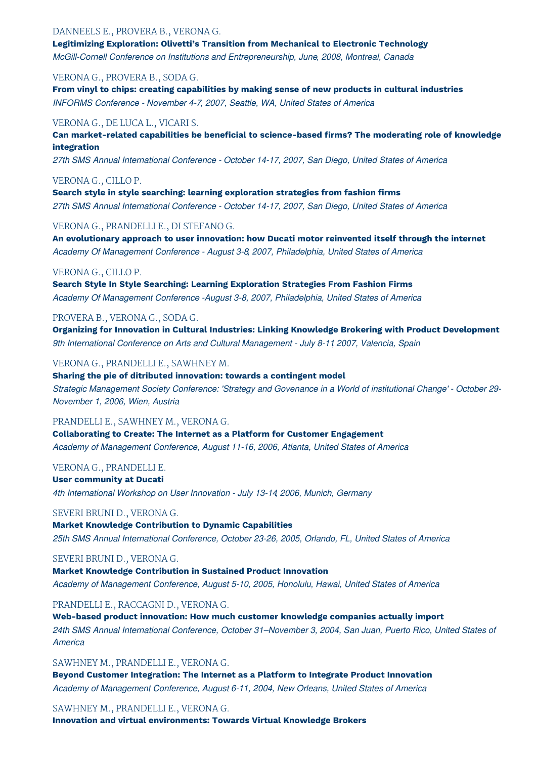# DANNEELS E., PROVERA B., VERONA G.

**Legitimizing Exploration: Olivetti's Transition from Mechanical to Electronic Technology** *McGill-Cornell Conference on Institutions and Entrepreneurship, June, 2008, Montreal, Canada*

# VERONA G., PROVERA B., SODA G.

**From vinyl to chips: creating capabilities by making sense of new products in cultural industries** *INFORMS Conference - November 4-7, 2007, Seattle, WA, United States of America*

# VERONA G., DE LUCA L., VICARI S.

**Can market-related capabilities be beneficial to science-based firms? The moderating role of knowledge integration**

*27th SMS Annual International Conference - October 14-17, 2007, San Diego, United States of America*

### VERONA G., CILLO P.

**Search style in style searching: learning exploration strategies from fashion firms** *27th SMS Annual International Conference - October 14-17, 2007, San Diego, United States of America*

VERONA G., PRANDELLI E., DI STEFANO G.

**An evolutionary approach to user innovation: how Ducati motor reinvented itself through the internet** *Academy Of Management Conference - August 3-8, 2007, Philadelphia, United States of America*

# VERONA G., CILLO P.

**Search Style In Style Searching: Learning Exploration Strategies From Fashion Firms** *Academy Of Management Conference -August 3-8, 2007, Philadelphia, United States of America*

# PROVERA B., VERONA G., SODA G.

**Organizing for Innovation in Cultural Industries: Linking Knowledge Brokering with Product Development** *9th International Conference on Arts and Cultural Management - July 8-11, 2007, Valencia, Spain*

VERONA G., PRANDELLI E., SAWHNEY M.

**Sharing the pie of ditributed innovation: towards a contingent model**

Strategic Management Society Conference: 'Strategy and Govenance in a World of institutional Change' - October 29-*November 1, 2006, Wien, Austria*

#### PRANDELLI E., SAWHNEY M., VERONA G.

**Collaborating to Create: The Internet as a Platform for Customer Engagement** *Academy of Management Conference, August 11-16, 2006, Atlanta, United States of America*

#### VERONA G., PRANDELLI E.

**User community at Ducati** *4th International Workshop on User Innovation - July 13-14, 2006, Munich, Germany*

# SEVERI BRUNI D., VERONA G.

**Market Knowledge Contribution to Dynamic Capabilities** *25th SMS Annual International Conference, October 23-26, 2005, Orlando, FL, United States of America*

#### SEVERI BRUNI D., VERONA G.

**Market Knowledge Contribution in Sustained Product Innovation** *Academy of Management Conference, August 5-10, 2005, Honolulu, Hawai, United States of America*

PRANDELLI E., RACCAGNI D., VERONA G.

**Web-based product innovation: How much customer knowledge companies actually import** *24th SMS Annual International Conference, October 31–November 3, 2004, San Juan, Puerto Rico, United States of America*

#### SAWHNEY M., PRANDELLI E., VERONA G.

**Beyond Customer Integration: The Internet as a Platform to Integrate Product Innovation** *Academy of Management Conference, August 6-11, 2004, New Orleans, United States of America*

# SAWHNEY M., PRANDELLI E., VERONA G.

**Innovation and virtual environments: Towards Virtual Knowledge Brokers**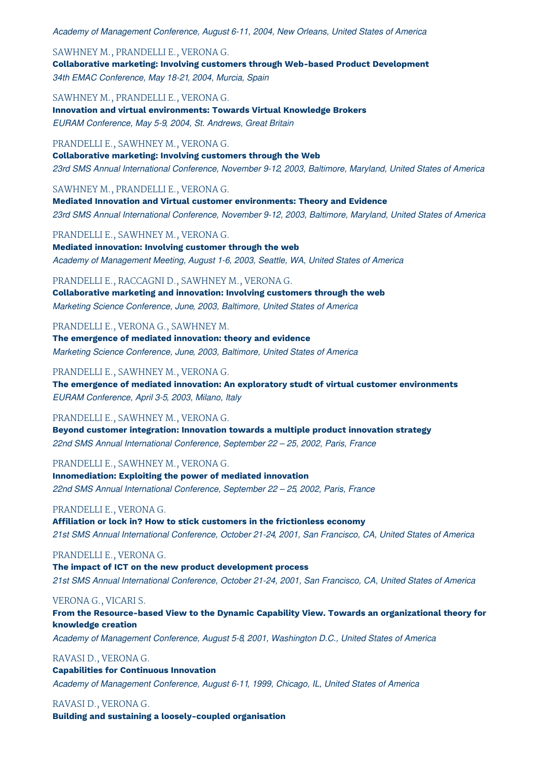*Academy of Management Conference, August 6-11, 2004, New Orleans, United States of America*

#### SAWHNEY M., PRANDELLI E., VERONA G.

**Collaborative marketing: Involving customers through Web-based Product Development** *34th EMAC Conference, May 18-21, 2004, Murcia, Spain*

#### SAWHNEY M., PRANDELLI E., VERONA G.

**Innovation and virtual environments: Towards Virtual Knowledge Brokers** *EURAM Conference, May 5-9, 2004, St. Andrews, Great Britain*

#### PRANDELLI E., SAWHNEY M., VERONA G.

**Collaborative marketing: Involving customers through the Web** *23rd SMS Annual International Conference, November 9-12, 2003, Baltimore, Maryland, United States of America*

SAWHNEY M., PRANDELLI E., VERONA G. **Mediated Innovation and Virtual customer environments: Theory and Evidence** *23rd SMS Annual International Conference, November 9-12, 2003, Baltimore, Maryland, United States of America*

PRANDELLI E., SAWHNEY M., VERONA G.

**Mediated innovation: Involving customer through the web** *Academy of Management Meeting, August 1-6, 2003, Seattle, WA, United States of America*

# PRANDELLI E., RACCAGNI D., SAWHNEY M., VERONA G.

**Collaborative marketing and innovation: Involving customers through the web** *Marketing Science Conference, June, 2003, Baltimore, United States of America*

# PRANDELLI E., VERONA G., SAWHNEY M.

**The emergence of mediated innovation: theory and evidence** *Marketing Science Conference, June, 2003, Baltimore, United States of America*

# PRANDELLI E., SAWHNEY M., VERONA G.

**The emergence of mediated innovation: An exploratory studt of virtual customer environments** *EURAM Conference, April 3-5, 2003, Milano, Italy*

# PRANDELLI E., SAWHNEY M., VERONA G.

**Beyond customer integration: Innovation towards a multiple product innovation strategy** *22nd SMS Annual International Conference, September 22 – 25, 2002, Paris, France*

PRANDELLI E., SAWHNEY M., VERONA G.

**Innomediation: Exploiting the power of mediated innovation** *22nd SMS Annual International Conference, September 22 – 25, 2002, Paris, France*

# PRANDELLI E., VERONA G.

**Affiliation or lock in? How to stick customers in the frictionless economy** *21st SMS Annual International Conference, October 21-24, 2001, San Francisco, CA, United States of America*

PRANDELLI E., VERONA G.

**The impact of ICT on the new product development process** *21st SMS Annual International Conference, October 21-24, 2001, San Francisco, CA, United States of America*

# VERONA G., VICARI S.

**From the Resource-based View to the Dynamic Capability View. Towards an organizational theory for knowledge creation**

*Academy of Management Conference, August 5-8, 2001, Washington D.C., United States of America*

# RAVASI D., VERONA G.

**Capabilities for Continuous Innovation** *Academy of Management Conference, August 6-11, 1999, Chicago, IL, United States of America*

RAVASI D., VERONA G. **Building and sustaining a loosely-coupled organisation**